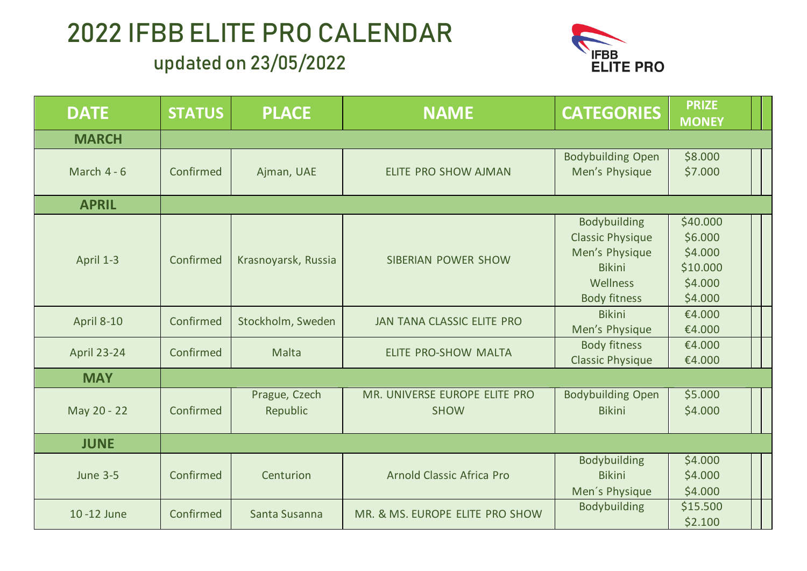

| <b>DATE</b>        | <b>STATUS</b> | <b>PLACE</b>              | <b>NAME</b>                                  | <b>CATEGORIES</b>                                                                                                    | <b>PRIZE</b><br><b>MONEY</b>                                     |  |
|--------------------|---------------|---------------------------|----------------------------------------------|----------------------------------------------------------------------------------------------------------------------|------------------------------------------------------------------|--|
| <b>MARCH</b>       |               |                           |                                              |                                                                                                                      |                                                                  |  |
| March $4 - 6$      | Confirmed     | Ajman, UAE                | ELITE PRO SHOW AJMAN                         | <b>Bodybuilding Open</b><br>Men's Physique                                                                           | \$8.000<br>\$7.000                                               |  |
| <b>APRIL</b>       |               |                           |                                              |                                                                                                                      |                                                                  |  |
| April 1-3          | Confirmed     | Krasnoyarsk, Russia       | <b>SIBERIAN POWER SHOW</b>                   | <b>Bodybuilding</b><br><b>Classic Physique</b><br>Men's Physique<br><b>Bikini</b><br>Wellness<br><b>Body fitness</b> | \$40.000<br>\$6.000<br>\$4.000<br>\$10.000<br>\$4.000<br>\$4.000 |  |
| <b>April 8-10</b>  | Confirmed     | Stockholm, Sweden         | <b>JAN TANA CLASSIC ELITE PRO</b>            | <b>Bikini</b><br>Men's Physique                                                                                      | €4.000<br>€4.000                                                 |  |
| <b>April 23-24</b> | Confirmed     | Malta                     | <b>ELITE PRO-SHOW MALTA</b>                  | <b>Body fitness</b><br><b>Classic Physique</b>                                                                       | €4.000<br>€4.000                                                 |  |
| <b>MAY</b>         |               |                           |                                              |                                                                                                                      |                                                                  |  |
| May 20 - 22        | Confirmed     | Prague, Czech<br>Republic | MR. UNIVERSE EUROPE ELITE PRO<br><b>SHOW</b> | <b>Bodybuilding Open</b><br><b>Bikini</b>                                                                            | \$5.000<br>\$4.000                                               |  |
| <b>JUNE</b>        |               |                           |                                              |                                                                                                                      |                                                                  |  |
| <b>June 3-5</b>    | Confirmed     | Centurion                 | Arnold Classic Africa Pro                    | <b>Bodybuilding</b><br><b>Bikini</b><br>Men's Physique                                                               | \$4.000<br>\$4.000<br>\$4.000                                    |  |
| 10-12 June         | Confirmed     | Santa Susanna             | MR. & MS. EUROPE ELITE PRO SHOW              | <b>Bodybuilding</b>                                                                                                  | \$15.500<br>\$2.100                                              |  |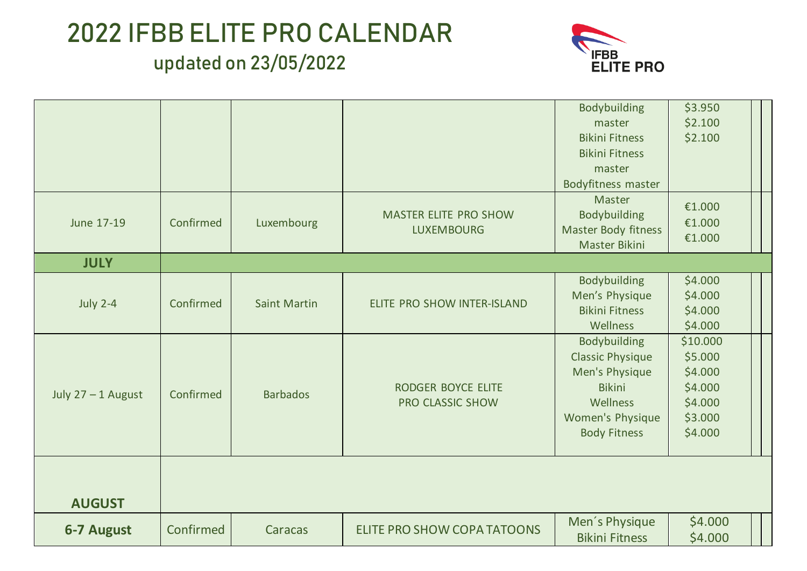

|                      |           |                     |                                        | Bodybuilding                            | \$3.950  |  |
|----------------------|-----------|---------------------|----------------------------------------|-----------------------------------------|----------|--|
|                      |           |                     |                                        | master                                  | \$2.100  |  |
|                      |           |                     |                                        | <b>Bikini Fitness</b>                   | \$2.100  |  |
|                      |           |                     |                                        | <b>Bikini Fitness</b>                   |          |  |
|                      |           |                     |                                        | master                                  |          |  |
|                      |           |                     |                                        | <b>Bodyfitness master</b>               |          |  |
|                      |           |                     |                                        | <b>Master</b>                           | €1.000   |  |
| June 17-19           | Confirmed | Luxembourg          | <b>MASTER ELITE PRO SHOW</b>           | <b>Bodybuilding</b>                     | €1.000   |  |
|                      |           |                     | <b>LUXEMBOURG</b>                      | Master Body fitness                     | €1.000   |  |
|                      |           |                     |                                        | Master Bikini                           |          |  |
| <b>JULY</b>          |           |                     |                                        |                                         |          |  |
|                      |           |                     |                                        | <b>Bodybuilding</b>                     | \$4.000  |  |
|                      |           | <b>Saint Martin</b> | ELITE PRO SHOW INTER-ISLAND            | Men's Physique                          | \$4.000  |  |
| <b>July 2-4</b>      | Confirmed |                     |                                        | <b>Bikini Fitness</b>                   | \$4.000  |  |
|                      |           |                     |                                        | Wellness                                | \$4.000  |  |
|                      |           |                     |                                        | <b>Bodybuilding</b>                     | \$10.000 |  |
|                      |           |                     |                                        | <b>Classic Physique</b>                 | \$5.000  |  |
|                      | Confirmed | <b>Barbados</b>     | RODGER BOYCE ELITE<br>PRO CLASSIC SHOW | Men's Physique                          | \$4.000  |  |
| July $27 - 1$ August |           |                     |                                        | <b>Bikini</b>                           | \$4.000  |  |
|                      |           |                     |                                        | Wellness                                | \$4.000  |  |
|                      |           |                     |                                        | Women's Physique                        | \$3.000  |  |
|                      |           |                     |                                        | <b>Body Fitness</b>                     | \$4.000  |  |
|                      |           |                     |                                        |                                         |          |  |
|                      |           |                     |                                        |                                         |          |  |
|                      |           |                     |                                        |                                         |          |  |
| <b>AUGUST</b>        |           |                     |                                        |                                         |          |  |
|                      |           |                     |                                        |                                         |          |  |
| <b>6-7 August</b>    | Confirmed | Caracas             | <b>ELITE PRO SHOW COPA TATOONS</b>     | Men's Physique<br><b>Bikini Fitness</b> | \$4.000  |  |
|                      |           |                     |                                        |                                         | \$4.000  |  |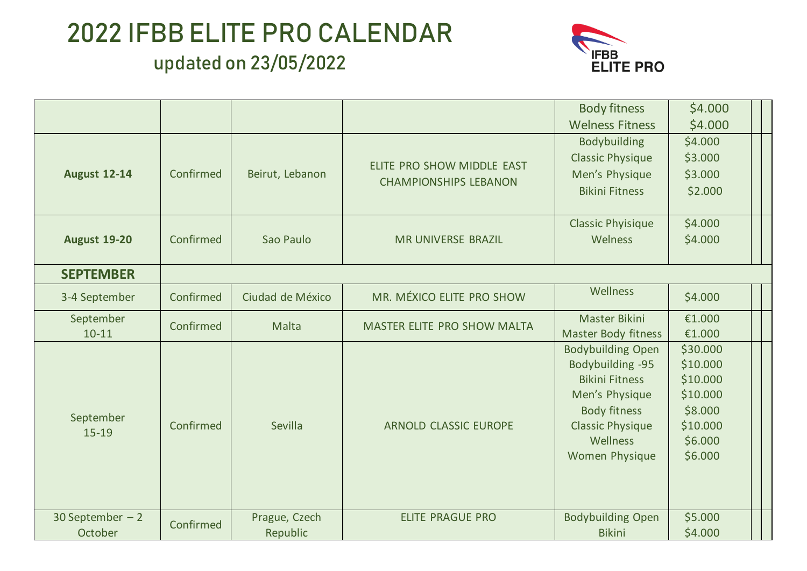

|                     |           |                  |                              | <b>Body fitness</b>                                                                                                                                                                                                                                                                                    | \$4.000  |  |
|---------------------|-----------|------------------|------------------------------|--------------------------------------------------------------------------------------------------------------------------------------------------------------------------------------------------------------------------------------------------------------------------------------------------------|----------|--|
|                     |           |                  |                              | <b>Welness Fitness</b>                                                                                                                                                                                                                                                                                 | \$4.000  |  |
|                     |           |                  |                              | Bodybuilding                                                                                                                                                                                                                                                                                           | \$4.000  |  |
|                     |           |                  | ELITE PRO SHOW MIDDLE EAST   | <b>Classic Physique</b>                                                                                                                                                                                                                                                                                | \$3.000  |  |
| <b>August 12-14</b> | Confirmed | Beirut, Lebanon  | <b>CHAMPIONSHIPS LEBANON</b> | Men's Physique                                                                                                                                                                                                                                                                                         | \$3.000  |  |
|                     |           |                  |                              | <b>Bikini Fitness</b>                                                                                                                                                                                                                                                                                  | \$2.000  |  |
|                     |           |                  |                              |                                                                                                                                                                                                                                                                                                        |          |  |
|                     |           |                  |                              | <b>Classic Phyisique</b>                                                                                                                                                                                                                                                                               | \$4.000  |  |
| <b>August 19-20</b> | Confirmed | Sao Paulo        | <b>MR UNIVERSE BRAZIL</b>    | Welness                                                                                                                                                                                                                                                                                                | \$4.000  |  |
|                     |           |                  |                              |                                                                                                                                                                                                                                                                                                        |          |  |
| <b>SEPTEMBER</b>    |           |                  |                              |                                                                                                                                                                                                                                                                                                        |          |  |
| 3-4 September       | Confirmed | Ciudad de México | MR. MÉXICO ELITE PRO SHOW    | <b>Wellness</b>                                                                                                                                                                                                                                                                                        | \$4.000  |  |
| September           | Confirmed | Malta            | MASTER ELITE PRO SHOW MALTA  | <b>Master Bikini</b>                                                                                                                                                                                                                                                                                   | €1.000   |  |
| $10 - 11$           |           |                  |                              | <b>Master Body fitness</b>                                                                                                                                                                                                                                                                             | €1.000   |  |
|                     |           |                  |                              | <b>Bodybuilding Open</b>                                                                                                                                                                                                                                                                               | \$30.000 |  |
|                     |           |                  |                              |                                                                                                                                                                                                                                                                                                        |          |  |
|                     |           |                  |                              |                                                                                                                                                                                                                                                                                                        |          |  |
|                     |           |                  |                              | Bodybuilding -95<br>\$10.000<br>\$10.000<br><b>Bikini Fitness</b><br>Men's Physique<br>\$10.000<br>\$8.000<br><b>Body fitness</b><br><b>Classic Physique</b><br>\$10.000<br>\$6.000<br>Wellness<br>\$6.000<br><b>Women Physique</b><br>\$5.000<br><b>Bodybuilding Open</b><br>\$4.000<br><b>Bikini</b> |          |  |
| September           |           |                  |                              |                                                                                                                                                                                                                                                                                                        |          |  |
| $15-19$             | Confirmed | Sevilla          | <b>ARNOLD CLASSIC EUROPE</b> |                                                                                                                                                                                                                                                                                                        |          |  |
|                     |           |                  |                              |                                                                                                                                                                                                                                                                                                        |          |  |
|                     |           |                  |                              |                                                                                                                                                                                                                                                                                                        |          |  |
|                     |           |                  |                              |                                                                                                                                                                                                                                                                                                        |          |  |
|                     |           |                  |                              |                                                                                                                                                                                                                                                                                                        |          |  |
| 30 September $-2$   | Confirmed | Prague, Czech    | <b>ELITE PRAGUE PRO</b>      |                                                                                                                                                                                                                                                                                                        |          |  |
| October             |           | Republic         |                              |                                                                                                                                                                                                                                                                                                        |          |  |